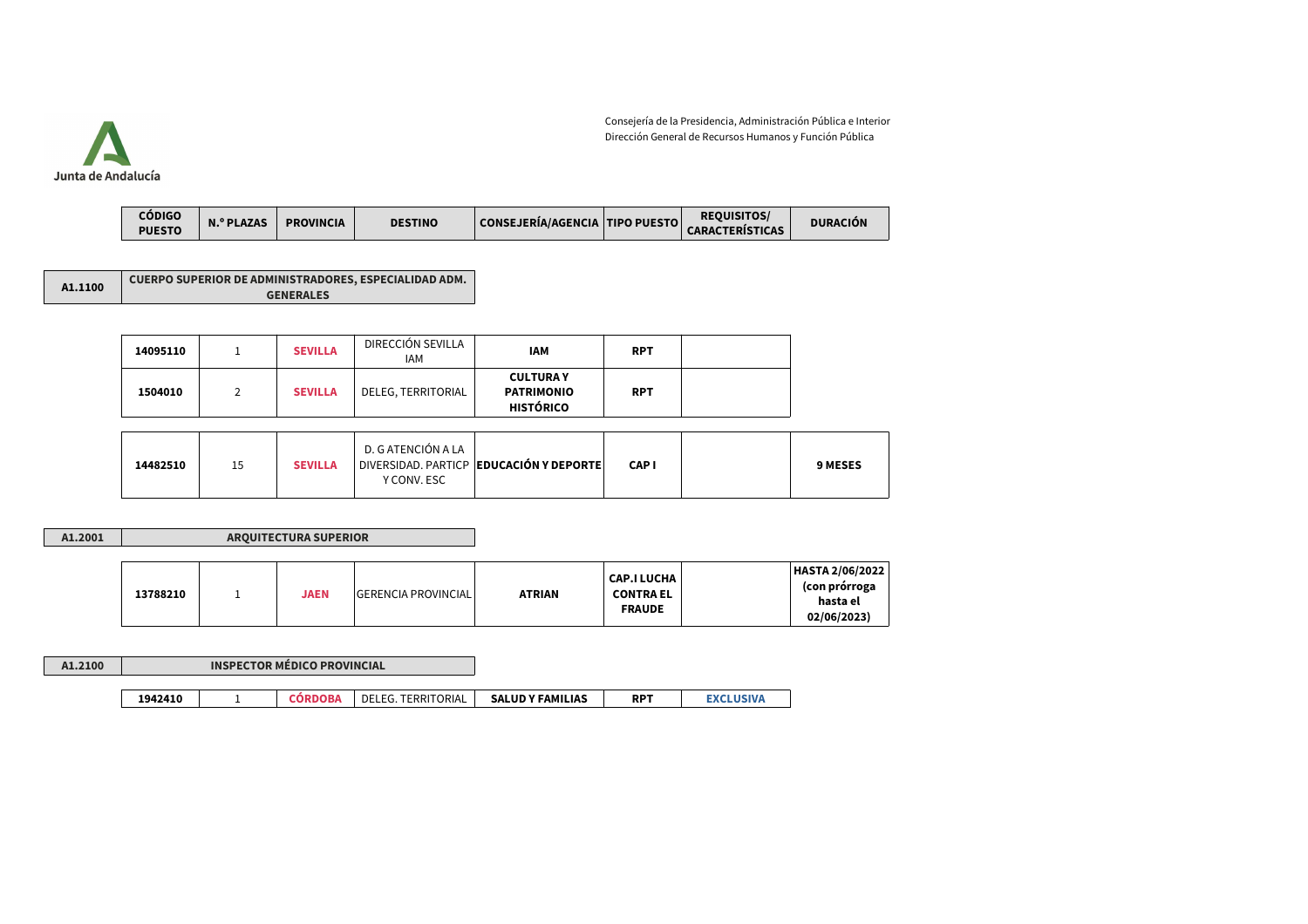Consejería de la Presidencia, Administración Pública e InteriorDirección General de Recursos Humanos y Función Pública



| CÓDIGO<br><b>PUESTO</b> | <sup>o</sup> PLAZAS<br>N. | <b>PROVINCIA</b> | <b>DESTINO</b> | <b>CONSEJERÍA/AGENCIA   TIPO PUESTO  </b> |  | <b>REQUISITOS</b><br><b>CARACTERISTICAS</b> | <b>DURACIÓN</b> |
|-------------------------|---------------------------|------------------|----------------|-------------------------------------------|--|---------------------------------------------|-----------------|
|-------------------------|---------------------------|------------------|----------------|-------------------------------------------|--|---------------------------------------------|-----------------|

**A1.1100CUERPO SUPERIOR DE ADMINISTRADORES, ESPECIALIDAD ADM. GENERALES**

| 14095110 | <b>SEVILLA</b> | DIRECCIÓN SEVILLA<br><b>IAM</b> | <b>IAM</b>                                               | <b>RPT</b> |  |
|----------|----------------|---------------------------------|----------------------------------------------------------|------------|--|
| 1504010  | <b>SEVILLA</b> | DELEG, TERRITORIAL              | <b>CULTURAY</b><br><b>PATRIMONIO</b><br><b>HISTÓRICO</b> | <b>RPT</b> |  |

| 14482510 | 15 | <b>SEVILLA</b> | D. G ATENCIÓN A LA<br>Y CONV. ESC | DIVERSIDAD. PARTICP <b>EDUCACIÓN Y DEPORTE</b> I | CAP I |  | <b>9 MESES</b> |
|----------|----|----------------|-----------------------------------|--------------------------------------------------|-------|--|----------------|
|----------|----|----------------|-----------------------------------|--------------------------------------------------|-------|--|----------------|

| A1.2001 |          | <b>ARQUITECTURA SUPERIOR</b> |                            |               |                                                         |                                                             |
|---------|----------|------------------------------|----------------------------|---------------|---------------------------------------------------------|-------------------------------------------------------------|
|         | 13788210 | <b>JAEN</b>                  | <b>GERENCIA PROVINCIAL</b> | <b>ATRIAN</b> | <b>CAP.I LUCHA</b><br><b>CONTRA EL</b><br><b>FRAUDE</b> | HASTA 2/06/2022<br>(con prórroga<br>hasta el<br>02/06/2023) |

| A1.2100 |         | <b>INSPECTOR MÉDICO PROVINCIAL</b> |                    |                         |            |                  |
|---------|---------|------------------------------------|--------------------|-------------------------|------------|------------------|
|         |         |                                    |                    |                         |            |                  |
|         | 1942410 | CORDOBA                            | DELEG. TERRITORIAL | <b>SALUD Y FAMILIAS</b> | <b>RPT</b> | <b>EXCLUSIVA</b> |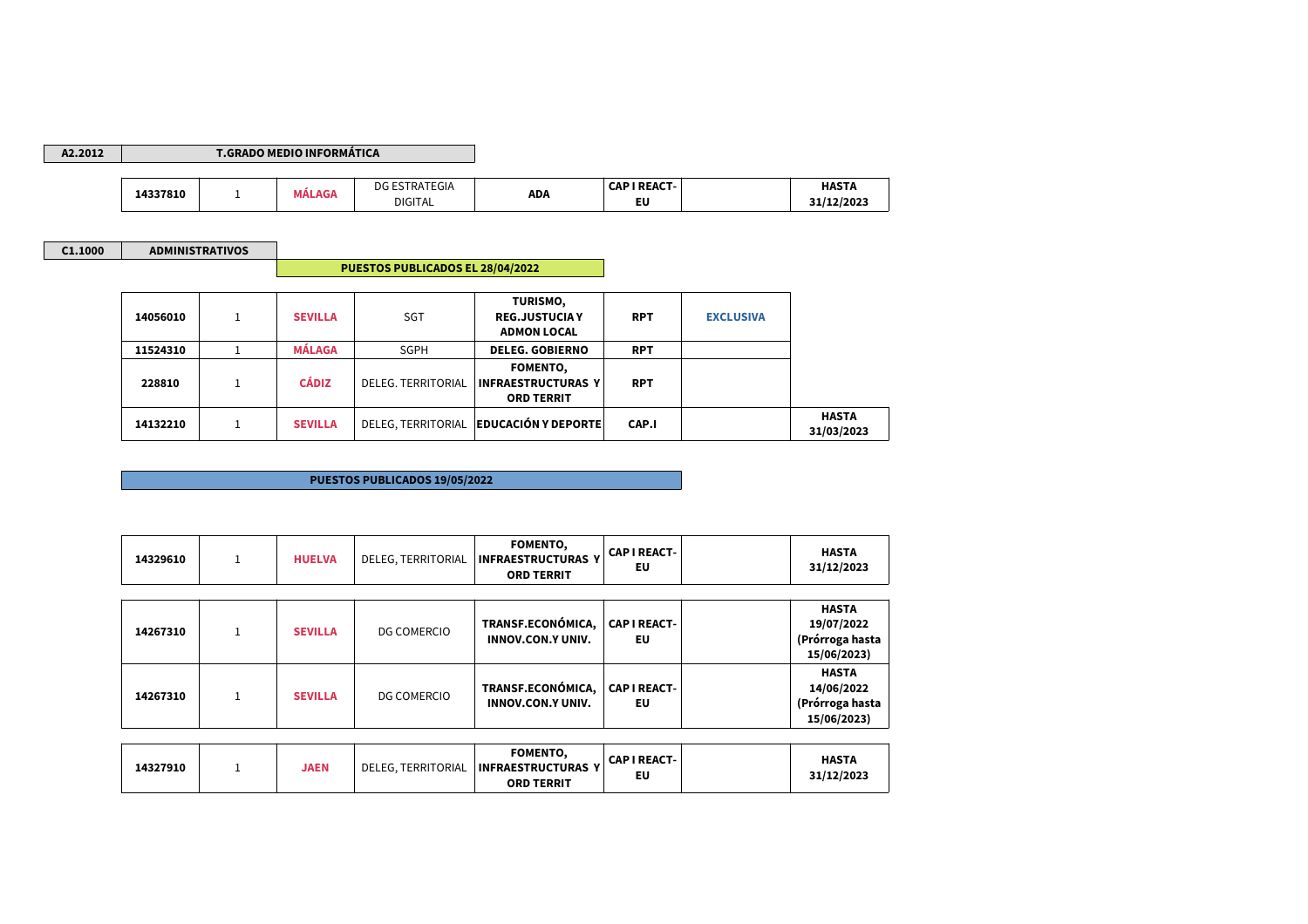| A2.2012  |  | T.GRADO MEDIO INFORMÁTICA |                      |            |                     |              |
|----------|--|---------------------------|----------------------|------------|---------------------|--------------|
|          |  |                           |                      |            |                     |              |
|          |  | <b>MÁLAGA</b>             | <b>DG ESTRATEGIA</b> | <b>ADA</b> | <b>CAP I REACT-</b> | <b>HASTA</b> |
| 14337810 |  | <b>DIGITAL</b>            |                      | EU         | 31/12/2023          |              |

**C1.1000 ADMINISTRATIVOS**

**PUESTOS PUBLICADOS EL 28/04/2022**

| 14056010 | <b>SEVILLA</b> | <b>SGT</b>         | TURISMO,<br><b>REG.JUSTUCIAY</b><br><b>ADMON LOCAL</b>     | <b>RPT</b> | <b>EXCLUSIVA</b> |                            |
|----------|----------------|--------------------|------------------------------------------------------------|------------|------------------|----------------------------|
| 11524310 | <b>MÁLAGA</b>  | <b>SGPH</b>        | <b>DELEG. GOBIERNO</b>                                     | <b>RPT</b> |                  |                            |
| 228810   | <b>CÁDIZ</b>   | DELEG. TERRITORIAL | FOMENTO,<br><b>INFRAESTRUCTURAS Y</b><br><b>ORD TERRIT</b> | <b>RPT</b> |                  |                            |
| 14132210 | <b>SEVILLA</b> |                    | DELEG, TERRITORIAL EDUCACIÓN Y DEPORTE                     | CAP.I      |                  | <b>HASTA</b><br>31/03/2023 |

## **PUESTOS PUBLICADOS 19/05/2022**

| 14329610 | $\mathbf{1}$ | <b>HUELVA</b>  | DELEG, TERRITORIAL | FOMENTO,<br><b>INFRAESTRUCTURAS Y</b><br><b>ORD TERRIT</b> | <b>CAP I REACT-</b><br>EU | <b>HASTA</b><br>31/12/2023                                   |
|----------|--------------|----------------|--------------------|------------------------------------------------------------|---------------------------|--------------------------------------------------------------|
| 14267310 | $\mathbf{1}$ | <b>SEVILLA</b> | <b>DG COMERCIO</b> | TRANSF.ECONÓMICA,<br><b>INNOV.CON.Y UNIV.</b>              | <b>CAP I REACT-</b><br>EU | <b>HASTA</b><br>19/07/2022<br>(Prórroga hasta<br>15/06/2023) |
| 14267310 | $\mathbf{1}$ | <b>SEVILLA</b> | <b>DG COMERCIO</b> | TRANSF.ECONÓMICA,<br><b>INNOV.CON.Y UNIV.</b>              | <b>CAP I REACT-</b><br>EU | <b>HASTA</b><br>14/06/2022<br>(Prórroga hasta<br>15/06/2023) |

| 14327910 |  | JAEN | DELEG. TERRITORIAL | <b>FOMENTO.</b><br><b>INFRAESTRUCTURAS Y</b><br><b>ORD TERRIT</b> | <b>CAP I REACT-</b><br>EU |  | <b>HASTA</b><br>31/12/2023 |
|----------|--|------|--------------------|-------------------------------------------------------------------|---------------------------|--|----------------------------|
|----------|--|------|--------------------|-------------------------------------------------------------------|---------------------------|--|----------------------------|